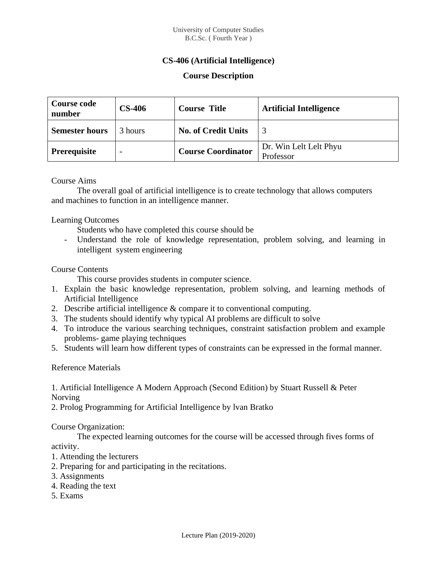## **CS-406 (Artificial Intelligence)**

## **Course Description**

| <b>Course code</b><br>number | <b>CS-406</b> | <b>Course Title</b>        | <b>Artificial Intelligence</b>      |
|------------------------------|---------------|----------------------------|-------------------------------------|
| <b>Semester hours</b>        | 3 hours       | <b>No. of Credit Units</b> | 3                                   |
| <b>Prerequisite</b>          |               | <b>Course Coordinator</b>  | Dr. Win Lelt Lelt Phyu<br>Professor |

#### Course Aims

The overall goal of artificial intelligence is to create technology that allows computers and machines to function in an intelligence manner.

### Learning Outcomes

Students who have completed this course should be

Understand the role of knowledge representation, problem solving, and learning in intelligent system engineering

### Course Contents

This course provides students in computer science.

- 1. Explain the basic knowledge representation, problem solving, and learning methods of Artificial Intelligence
- 2. Describe artificial intelligence & compare it to conventional computing.
- 3. The students should identify why typical AI problems are difficult to solve
- 4. To introduce the various searching techniques, constraint satisfaction problem and example problems- game playing techniques
- 5. Students will learn how different types of constraints can be expressed in the formal manner.

#### Reference Materials

1. Artificial Intelligence A Modern Approach (Second Edition) by Stuart Russell & Peter Norving

2. Prolog Programming for Artificial Intelligence by lvan Bratko

#### Course Organization:

The expected learning outcomes for the course will be accessed through fives forms of

activity.

- 1. Attending the lecturers
- 2. Preparing for and participating in the recitations.
- 3. Assignments
- 4. Reading the text
- 5. Exams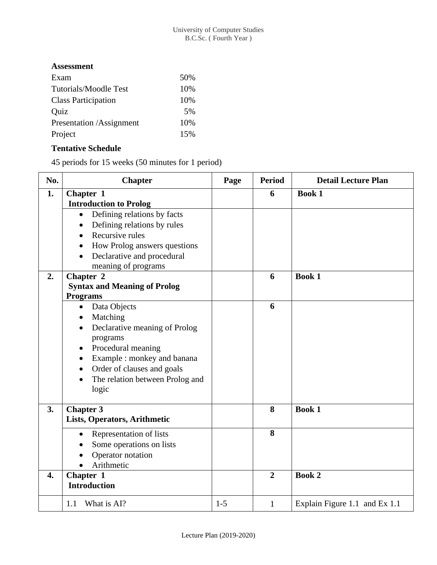## **Assessment**

| Exam                       | 50% |
|----------------------------|-----|
| Tutorials/Moodle Test      | 10% |
| <b>Class Participation</b> | 10% |
| Quiz                       | .5% |
| Presentation /Assignment   | 10% |
| Project                    | 15% |

# **Tentative Schedule**

45 periods for 15 weeks (50 minutes for 1 period)

| No. | <b>Chapter</b>                                                                                                                                                                                                                                                                                  | Page    | <b>Period</b>  | <b>Detail Lecture Plan</b>    |
|-----|-------------------------------------------------------------------------------------------------------------------------------------------------------------------------------------------------------------------------------------------------------------------------------------------------|---------|----------------|-------------------------------|
| 1.  | Chapter 1<br><b>Introduction to Prolog</b>                                                                                                                                                                                                                                                      |         | 6              | <b>Book 1</b>                 |
|     | Defining relations by facts<br>$\bullet$<br>Defining relations by rules<br>$\bullet$<br>Recursive rules<br>$\bullet$<br>How Prolog answers questions<br>$\bullet$<br>Declarative and procedural<br>meaning of programs                                                                          |         |                |                               |
| 2.  | Chapter 2<br><b>Syntax and Meaning of Prolog</b><br><b>Programs</b>                                                                                                                                                                                                                             |         | 6              | <b>Book 1</b>                 |
|     | Data Objects<br>$\bullet$<br>Matching<br>$\bullet$<br>Declarative meaning of Prolog<br>$\bullet$<br>programs<br>Procedural meaning<br>$\bullet$<br>Example : monkey and banana<br>$\bullet$<br>Order of clauses and goals<br>$\bullet$<br>The relation between Prolog and<br>$\bullet$<br>logic |         | 6              |                               |
| 3.  | Chapter 3<br>Lists, Operators, Arithmetic                                                                                                                                                                                                                                                       |         | 8              | <b>Book 1</b>                 |
|     | Representation of lists<br>$\bullet$<br>Some operations on lists<br>Operator notation<br>Arithmetic                                                                                                                                                                                             |         | 8              |                               |
| 4.  | Chapter 1<br><b>Introduction</b>                                                                                                                                                                                                                                                                |         | $\overline{2}$ | <b>Book 2</b>                 |
|     | What is AI?<br>1.1                                                                                                                                                                                                                                                                              | $1 - 5$ | $\mathbf{1}$   | Explain Figure 1.1 and Ex 1.1 |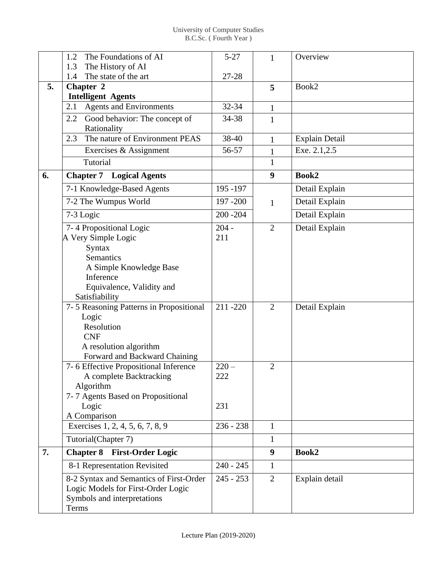|    | The Foundations of AI<br>1.2<br>The History of AI<br>1.3                                                              | $5 - 27$    | 1                | Overview       |
|----|-----------------------------------------------------------------------------------------------------------------------|-------------|------------------|----------------|
|    | The state of the art<br>1.4                                                                                           | 27-28       |                  |                |
| 5. | Chapter 2                                                                                                             |             | 5                | Book2          |
|    | <b>Intelligent Agents</b>                                                                                             |             |                  |                |
|    | <b>Agents and Environments</b><br>2.1                                                                                 | 32-34       | 1                |                |
|    | Good behavior: The concept of<br>2.2<br>Rationality                                                                   | 34-38       | $\mathbf{1}$     |                |
|    | The nature of Environment PEAS<br>2.3                                                                                 | 38-40       | $\mathbf{1}$     | Explain Detail |
|    | Exercises & Assignment                                                                                                | 56-57       | $\mathbf{1}$     | Exe. 2.1,2.5   |
|    | Tutorial                                                                                                              |             | $\mathbf{1}$     |                |
| 6. | <b>Logical Agents</b><br><b>Chapter 7</b>                                                                             |             | 9                | Book2          |
|    | 7-1 Knowledge-Based Agents                                                                                            | 195 - 197   |                  | Detail Explain |
|    | 7-2 The Wumpus World                                                                                                  | 197 - 200   | $\mathbf{1}$     | Detail Explain |
|    | 7-3 Logic                                                                                                             | $200 - 204$ |                  | Detail Explain |
|    | 7-4 Propositional Logic                                                                                               | $204 -$     | $\overline{2}$   | Detail Explain |
|    | A Very Simple Logic                                                                                                   | 211         |                  |                |
|    | <b>Syntax</b>                                                                                                         |             |                  |                |
|    | <b>Semantics</b>                                                                                                      |             |                  |                |
|    | A Simple Knowledge Base                                                                                               |             |                  |                |
|    | Inference                                                                                                             |             |                  |                |
|    | Equivalence, Validity and                                                                                             |             |                  |                |
|    | Satisfiability                                                                                                        |             |                  |                |
|    | 7-5 Reasoning Patterns in Propositional                                                                               | 211-220     | $\overline{2}$   | Detail Explain |
|    | Logic                                                                                                                 |             |                  |                |
|    | Resolution                                                                                                            |             |                  |                |
|    | <b>CNF</b>                                                                                                            |             |                  |                |
|    | A resolution algorithm                                                                                                |             |                  |                |
|    | Forward and Backward Chaining                                                                                         | $220 -$     |                  |                |
|    | 7-6 Effective Propositional Inference<br>A complete Backtracking                                                      | 222         | $\overline{2}$   |                |
|    | Algorithm                                                                                                             |             |                  |                |
|    | 7-7 Agents Based on Propositional                                                                                     |             |                  |                |
|    | Logic                                                                                                                 | 231         |                  |                |
|    | A Comparison                                                                                                          |             |                  |                |
|    | Exercises 1, 2, 4, 5, 6, 7, 8, 9                                                                                      | $236 - 238$ | $\mathbf{1}$     |                |
|    | Tutorial(Chapter 7)                                                                                                   |             | $\mathbf{1}$     |                |
| 7. | <b>Chapter 8 First-Order Logic</b>                                                                                    |             | $\boldsymbol{9}$ | Book2          |
|    | 8-1 Representation Revisited                                                                                          | $240 - 245$ | $\mathbf{1}$     |                |
|    | 8-2 Syntax and Semantics of First-Order<br>Logic Models for First-Order Logic<br>Symbols and interpretations<br>Terms | $245 - 253$ | 2                | Explain detail |